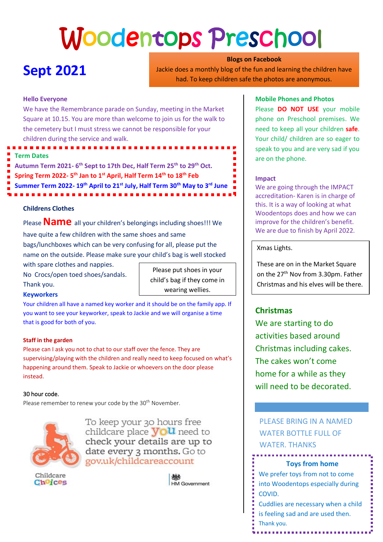# Woodentops Preschool

# **Sept 2021**

**Blogs on Facebook** Jackie does a monthly blog of the fun and learning the children have had. To keep children safe the photos are anonymous.

#### **Hello Everyone**

We have the Remembrance parade on Sunday, meeting in the Market Square at 10.15. You are more than welcome to join us for the walk to the cemetery but I must stress we cannot be responsible for your children during the service and walk.

- **Term Dates**
- **Autumn Term 2021- 6 th Sept to 17th Dec, Half Term 25th to 29th Oct.**
- **Spring Term 2022- 5 th Jan to 1st April, Half Term 14th to 18th Feb**
- **Summer Term 2022- 19th April to 21st July, Half Term 30th May to 3rd June**

### **Childrens Clothes**

Please **Name** all your children's belongings including shoes!!! We

have quite a few children with the same shoes and same bags/lunchboxes which can be very confusing for all, please put the name on the outside. Please make sure your child's bag is well stocked

with spare clothes and nappies.

No Crocs/open toed shoes/sandals. Thank you.

Please put shoes in your child's bag if they come in wearing wellies.

#### **Keyworkers**

Your children all have a named key worker and it should be on the family app. If you want to see your keyworker, speak to Jackie and we will organise a time that is good for both of you.

#### **Staff in the garden**

Please can I ask you not to chat to our staff over the fence. They are supervising/playing with the children and really need to keep focused on what's happening around them. Speak to Jackie or whoevers on the door please instead.

#### 30 hour code.

Please remember to renew your code by the 30<sup>th</sup> November.



To keep your 30 hours free childcare place **you** need to check your details are up to date every 3 months. Go to gov.uk/childcareaccount

Childcare Choices

**HM Government** 

#### **Mobile Phones and Photos**

Please **DO NOT USE** your mobile phone on Preschool premises. We need to keep all your children **safe**. Your child/ children are so eager to speak to you and are very sad if you are on the phone.

#### **Impact**

We are going through the IMPACT accreditation- Karen is in charge of this. It is a way of looking at what Woodentops does and how we can improve for the children's benefit. We are due to finish by April 2022.

#### Xmas Lights.

These are on in the Market Square on the 27<sup>th</sup> Nov from 3.30pm. Father Christmas and his elves will be there.

# **Christmas**

We are starting to do activities based around Christmas including cakes. The cakes won't come home for a while as they will need to be decorated.

PLEASE BRING IN A NAMED WATER BOTTLE FULL OF WATER. THANKS

#### **Toys from home**

- We prefer toys from not to come into Woodentops especially during
- COVID.
- Cuddlies are necessary when a child
- is feeling sad and are used then.
- Thank you.